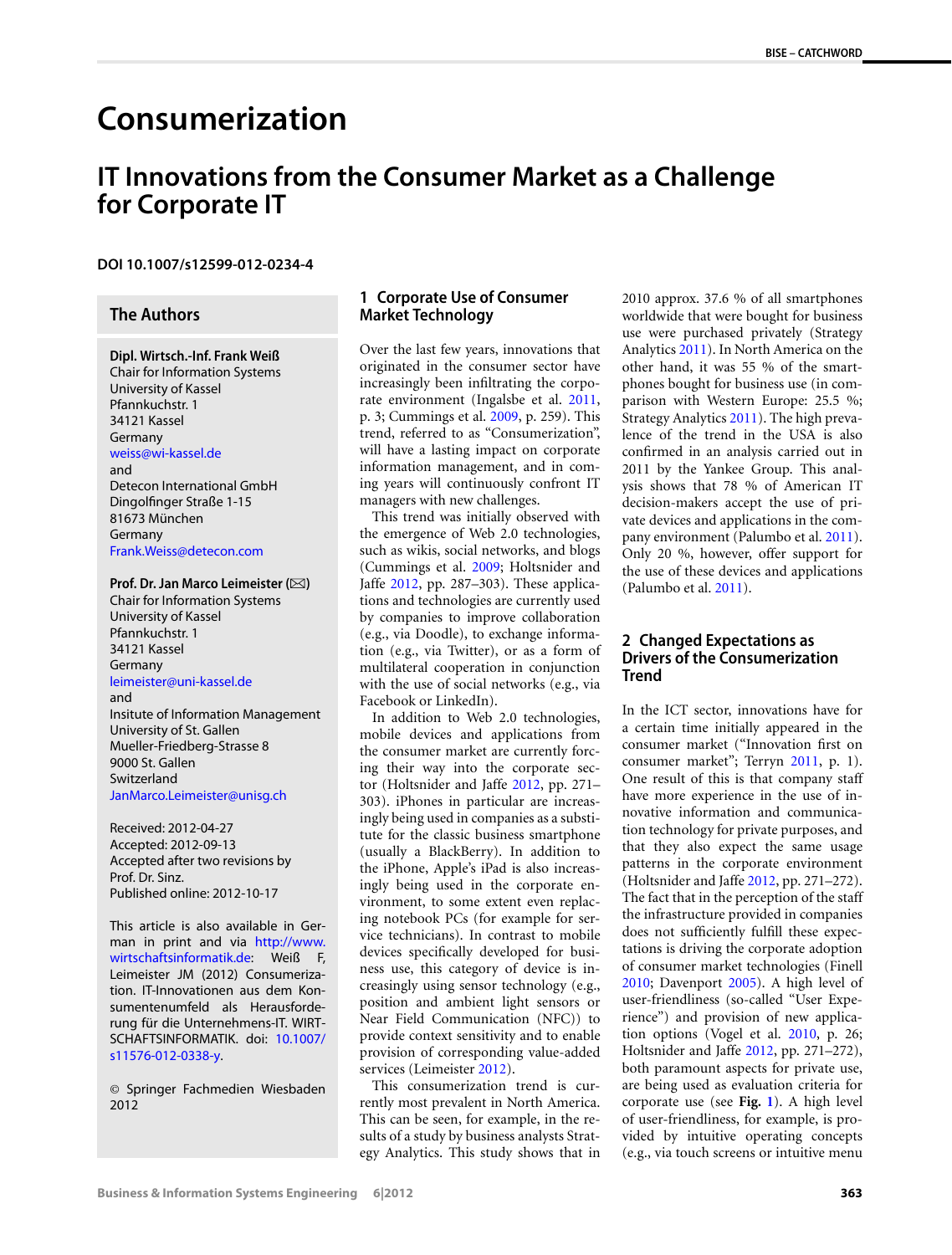# **Consumerization**

# **IT Innovations from the Consumer Market as a Challenge for Corporate IT**

**DOI 10.1007/s12599-012-0234-4**

# **The Authors**

**Dipl. Wirtsch.-Inf. Frank Weiß** Chair for Information Systems University of Kassel Pfannkuchstr. 1 34121 Kassel

#### Germany [weiss@wi-kassel.de](mailto:weiss@wi-kassel.de) and Detecon International GmbH Dingolfinger Straße 1-15 81673 München Germany

[Frank.Weiss@detecon.com](mailto:Frank.Weiss@detecon.com)

**Prof. Dr. Jan Marco Leimeister (**-**)** Chair for Information Systems University of Kassel Pfannkuchstr. 1 34121 Kassel Germany [leimeister@uni-kassel.de](mailto:leimeister@uni-kassel.de) and Insitute of Information Management University of St. Gallen Mueller-Friedberg-Strasse 8 9000 St. Gallen Switzerland [JanMarco.Leimeister@unisg.ch](mailto:JanMarco.Leimeister@unisg.ch)

Received: 2012-04-27 Accepted: 2012-09-13 Accepted after two revisions by Prof. Dr. Sinz. Published online: 2012-10-17

This article is also available in German in print and via [http://www.](http://www.wirtschaftsinformatik.de) [wirtschaftsinformatik.de:](http://www.wirtschaftsinformatik.de) Weiß F, Leimeister JM (2012) Consumerization. IT-Innovationen aus dem Konsumentenumfeld als Herausforderung für die Unternehmens-IT. WIRT-SCHAFTSINFORMATIK. doi: [10.1007/](http://dx.doi.org/10.1007/s11576-012-0338-y) [s11576-012-0338-y.](http://dx.doi.org/10.1007/s11576-012-0338-y)

© Springer Fachmedien Wiesbaden 2012

# **1 Corporate Use of Consumer Market Technology**

Over the last few years, innovations that originated in the consumer sector have increasingly been infiltrating the corporate environment (Ingalsbe et al. [2011,](#page-3-0) p. 3; Cummings et al. [2009](#page-3-1), p. 259). This trend, referred to as "Consumerization", will have a lasting impact on corporate information management, and in coming years will continuously confront IT managers with new challenges.

This trend was initially observed with the emergence of Web 2.0 technologies, such as wikis, social networks, and blogs (Cummings et al. [2009](#page-3-1); Holtsnider and Jaffe [2012,](#page-3-2) pp. 287–303). These applications and technologies are currently used by companies to improve collaboration (e.g., via Doodle), to exchange information (e.g., via Twitter), or as a form of multilateral cooperation in conjunction with the use of social networks (e.g., via Facebook or LinkedIn).

In addition to Web 2.0 technologies, mobile devices and applications from the consumer market are currently forcing their way into the corporate sector (Holtsnider and Jaffe [2012](#page-3-2), pp. 271– 303). iPhones in particular are increasingly being used in companies as a substitute for the classic business smartphone (usually a BlackBerry). In addition to the iPhone, Apple's iPad is also increasingly being used in the corporate environment, to some extent even replacing notebook PCs (for example for service technicians). In contrast to mobile devices specifically developed for business use, this category of device is increasingly using sensor technology (e.g., position and ambient light sensors or Near Field Communication (NFC)) to provide context sensitivity and to enable provision of corresponding value-added services (Leimeister [2012](#page-3-3)).

This consumerization trend is currently most prevalent in North America. This can be seen, for example, in the results of a study by business analysts Strategy Analytics. This study shows that in

2010 approx. 37.6 % of all smartphones worldwide that were bought for business use were purchased privately (Strategy Analytics [2011\)](#page-3-4). In North America on the other hand, it was 55 % of the smartphones bought for business use (in comparison with Western Europe: 25.5 %; Strategy Analytics [2011](#page-3-4)). The high prevalence of the trend in the USA is also confirmed in an analysis carried out in 2011 by the Yankee Group. This analysis shows that 78 % of American IT decision-makers accept the use of private devices and applications in the company environment (Palumbo et al. [2011](#page-3-5)). Only 20 %, however, offer support for the use of these devices and applications (Palumbo et al. [2011\)](#page-3-5).

## **2 Changed Expectations as Drivers of the Consumerization Trend**

In the ICT sector, innovations have for a certain time initially appeared in the consumer market ("Innovation first on consumer market"; Terryn [2011,](#page-3-6) p. 1). One result of this is that company staff have more experience in the use of innovative information and communication technology for private purposes, and that they also expect the same usage patterns in the corporate environment (Holtsnider and Jaffe [2012](#page-3-2), pp. 271–272). The fact that in the perception of the staff the infrastructure provided in companies does not sufficiently fulfill these expectations is driving the corporate adoption of consumer market technologies (Finell [2010](#page-3-7); Davenport [2005\)](#page-3-8). A high level of user-friendliness (so-called "User Experience") and provision of new application options (Vogel et al. [2010](#page-3-9), p. 26; Holtsnider and Jaffe [2012,](#page-3-2) pp. 271–272), both paramount aspects for private use, are being used as evaluation criteria for corporate use (see **Fig. [1](#page-1-0)**). A high level of user-friendliness, for example, is provided by intuitive operating concepts (e.g., via touch screens or intuitive menu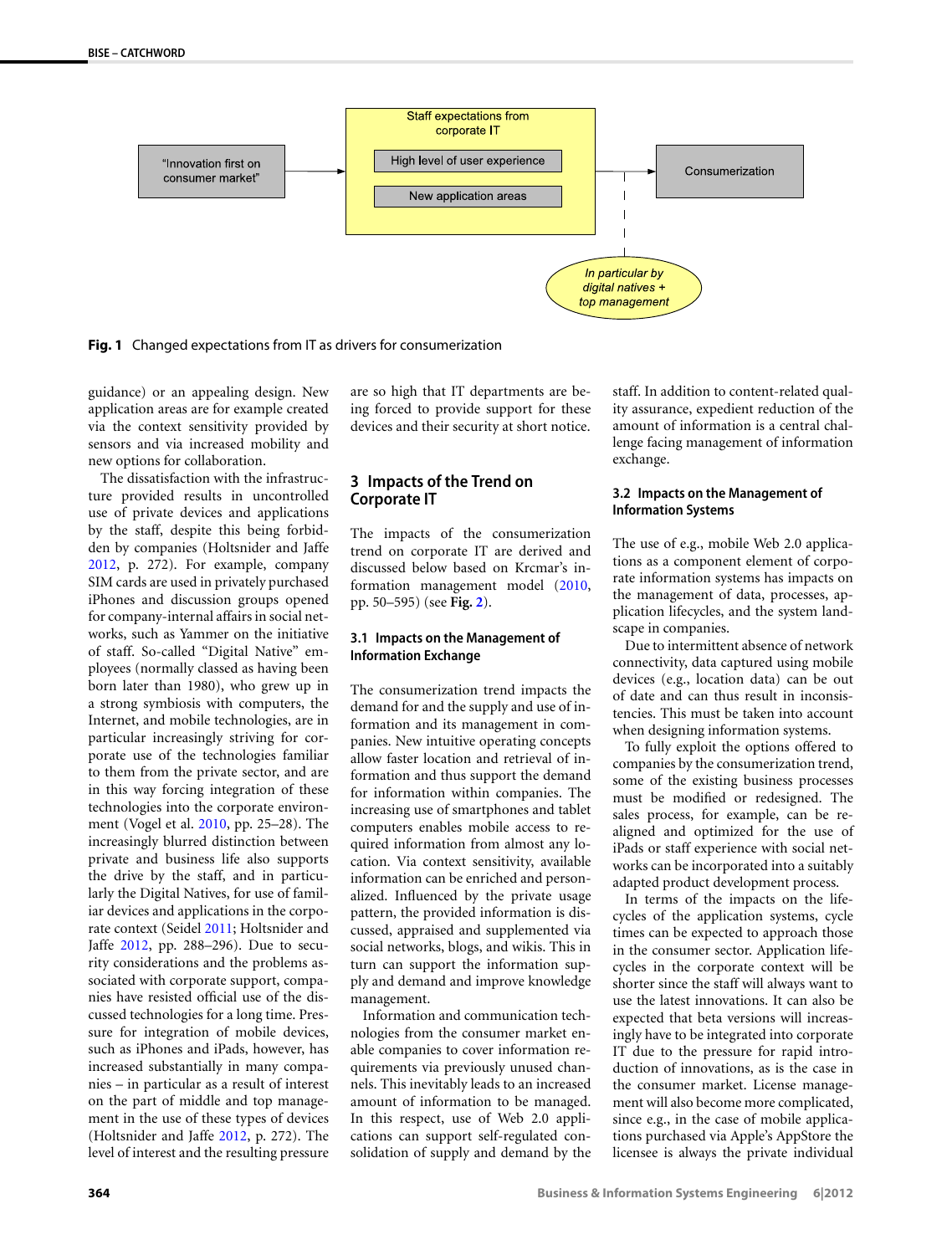<span id="page-1-0"></span>

**Fig. 1** Changed expectations from IT as drivers for consumerization

guidance) or an appealing design. New application areas are for example created via the context sensitivity provided by sensors and via increased mobility and new options for collaboration.

The dissatisfaction with the infrastructure provided results in uncontrolled use of private devices and applications by the staff, despite this being forbidden by companies (Holtsnider and Jaffe [2012](#page-3-2), p. 272). For example, company SIM cards are used in privately purchased iPhones and discussion groups opened for company-internal affairs in social networks, such as Yammer on the initiative of staff. So-called "Digital Native" employees (normally classed as having been born later than 1980), who grew up in a strong symbiosis with computers, the Internet, and mobile technologies, are in particular increasingly striving for corporate use of the technologies familiar to them from the private sector, and are in this way forcing integration of these technologies into the corporate environment (Vogel et al. [2010](#page-3-9), pp. 25–28). The increasingly blurred distinction between private and business life also supports the drive by the staff, and in particularly the Digital Natives, for use of familiar devices and applications in the corporate context (Seidel [2011](#page-3-10); Holtsnider and Jaffe [2012,](#page-3-2) pp. 288–296). Due to security considerations and the problems associated with corporate support, companies have resisted official use of the discussed technologies for a long time. Pressure for integration of mobile devices, such as iPhones and iPads, however, has increased substantially in many companies – in particular as a result of interest on the part of middle and top management in the use of these types of devices (Holtsnider and Jaffe [2012](#page-3-2), p. 272). The level of interest and the resulting pressure

are so high that IT departments are being forced to provide support for these devices and their security at short notice.

## **3 Impacts of the Trend on Corporate IT**

The impacts of the consumerization trend on corporate IT are derived and discussed below based on Krcmar's information management model ([2010,](#page-3-11) pp. 50–595) (see **Fig. [2](#page-2-0)**).

#### **3.1 Impacts on the Management of Information Exchange**

The consumerization trend impacts the demand for and the supply and use of information and its management in companies. New intuitive operating concepts allow faster location and retrieval of information and thus support the demand for information within companies. The increasing use of smartphones and tablet computers enables mobile access to required information from almost any location. Via context sensitivity, available information can be enriched and personalized. Influenced by the private usage pattern, the provided information is discussed, appraised and supplemented via social networks, blogs, and wikis. This in turn can support the information supply and demand and improve knowledge management.

Information and communication technologies from the consumer market enable companies to cover information requirements via previously unused channels. This inevitably leads to an increased amount of information to be managed. In this respect, use of Web 2.0 applications can support self-regulated consolidation of supply and demand by the

staff. In addition to content-related quality assurance, expedient reduction of the amount of information is a central challenge facing management of information exchange.

#### **3.2 Impacts on the Management of Information Systems**

The use of e.g., mobile Web 2.0 applications as a component element of corporate information systems has impacts on the management of data, processes, application lifecycles, and the system landscape in companies.

Due to intermittent absence of network connectivity, data captured using mobile devices (e.g., location data) can be out of date and can thus result in inconsistencies. This must be taken into account when designing information systems.

To fully exploit the options offered to companies by the consumerization trend, some of the existing business processes must be modified or redesigned. The sales process, for example, can be realigned and optimized for the use of iPads or staff experience with social networks can be incorporated into a suitably adapted product development process.

In terms of the impacts on the lifecycles of the application systems, cycle times can be expected to approach those in the consumer sector. Application lifecycles in the corporate context will be shorter since the staff will always want to use the latest innovations. It can also be expected that beta versions will increasingly have to be integrated into corporate IT due to the pressure for rapid introduction of innovations, as is the case in the consumer market. License management will also become more complicated, since e.g., in the case of mobile applications purchased via Apple's AppStore the licensee is always the private individual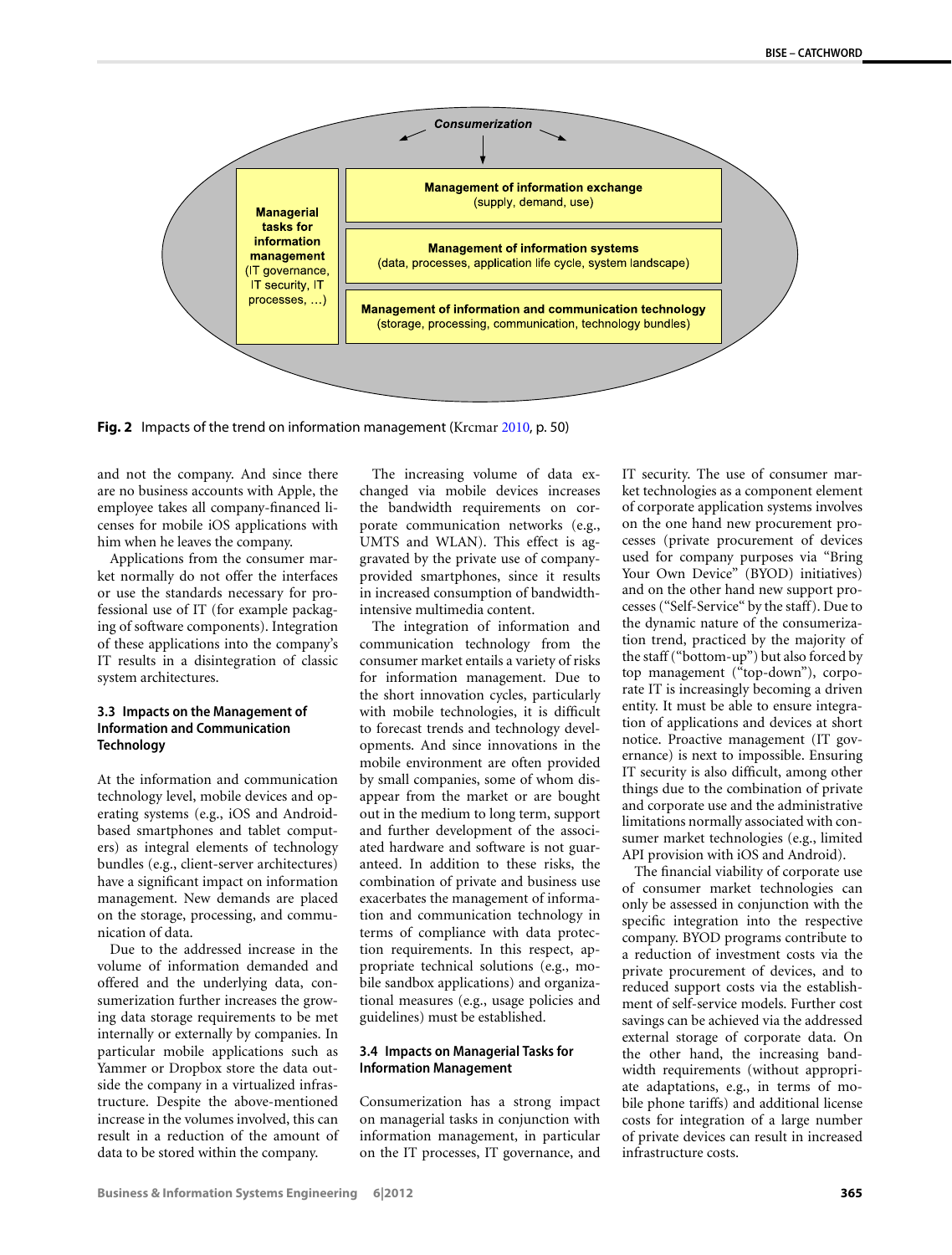

<span id="page-2-0"></span>**Fig. 2** Impacts of the trend on information management (Krcmar [2010](#page-3-11), p. 50)

and not the company. And since there are no business accounts with Apple, the employee takes all company-financed licenses for mobile iOS applications with him when he leaves the company.

Applications from the consumer market normally do not offer the interfaces or use the standards necessary for professional use of IT (for example packaging of software components). Integration of these applications into the company's IT results in a disintegration of classic system architectures.

#### **3.3 Impacts on the Management of Information and Communication Technology**

At the information and communication technology level, mobile devices and operating systems (e.g., iOS and Androidbased smartphones and tablet computers) as integral elements of technology bundles (e.g., client-server architectures) have a significant impact on information management. New demands are placed on the storage, processing, and communication of data.

Due to the addressed increase in the volume of information demanded and offered and the underlying data, consumerization further increases the growing data storage requirements to be met internally or externally by companies. In particular mobile applications such as Yammer or Dropbox store the data outside the company in a virtualized infrastructure. Despite the above-mentioned increase in the volumes involved, this can result in a reduction of the amount of data to be stored within the company.

The increasing volume of data exchanged via mobile devices increases the bandwidth requirements on corporate communication networks (e.g., UMTS and WLAN). This effect is aggravated by the private use of companyprovided smartphones, since it results in increased consumption of bandwidthintensive multimedia content.

The integration of information and communication technology from the consumer market entails a variety of risks for information management. Due to the short innovation cycles, particularly with mobile technologies, it is difficult to forecast trends and technology developments. And since innovations in the mobile environment are often provided by small companies, some of whom disappear from the market or are bought out in the medium to long term, support and further development of the associated hardware and software is not guaranteed. In addition to these risks, the combination of private and business use exacerbates the management of information and communication technology in terms of compliance with data protection requirements. In this respect, appropriate technical solutions (e.g., mobile sandbox applications) and organizational measures (e.g., usage policies and guidelines) must be established.

#### **3.4 Impacts on Managerial Tasks for Information Management**

Consumerization has a strong impact on managerial tasks in conjunction with information management, in particular on the IT processes, IT governance, and IT security. The use of consumer market technologies as a component element of corporate application systems involves on the one hand new procurement processes (private procurement of devices used for company purposes via "Bring Your Own Device" (BYOD) initiatives) and on the other hand new support processes ("Self-Service" by the staff). Due to the dynamic nature of the consumerization trend, practiced by the majority of the staff ("bottom-up") but also forced by top management ("top-down"), corporate IT is increasingly becoming a driven entity. It must be able to ensure integration of applications and devices at short notice. Proactive management (IT governance) is next to impossible. Ensuring IT security is also difficult, among other things due to the combination of private and corporate use and the administrative limitations normally associated with consumer market technologies (e.g., limited API provision with iOS and Android).

The financial viability of corporate use of consumer market technologies can only be assessed in conjunction with the specific integration into the respective company. BYOD programs contribute to a reduction of investment costs via the private procurement of devices, and to reduced support costs via the establishment of self-service models. Further cost savings can be achieved via the addressed external storage of corporate data. On the other hand, the increasing bandwidth requirements (without appropriate adaptations, e.g., in terms of mobile phone tariffs) and additional license costs for integration of a large number of private devices can result in increased infrastructure costs.